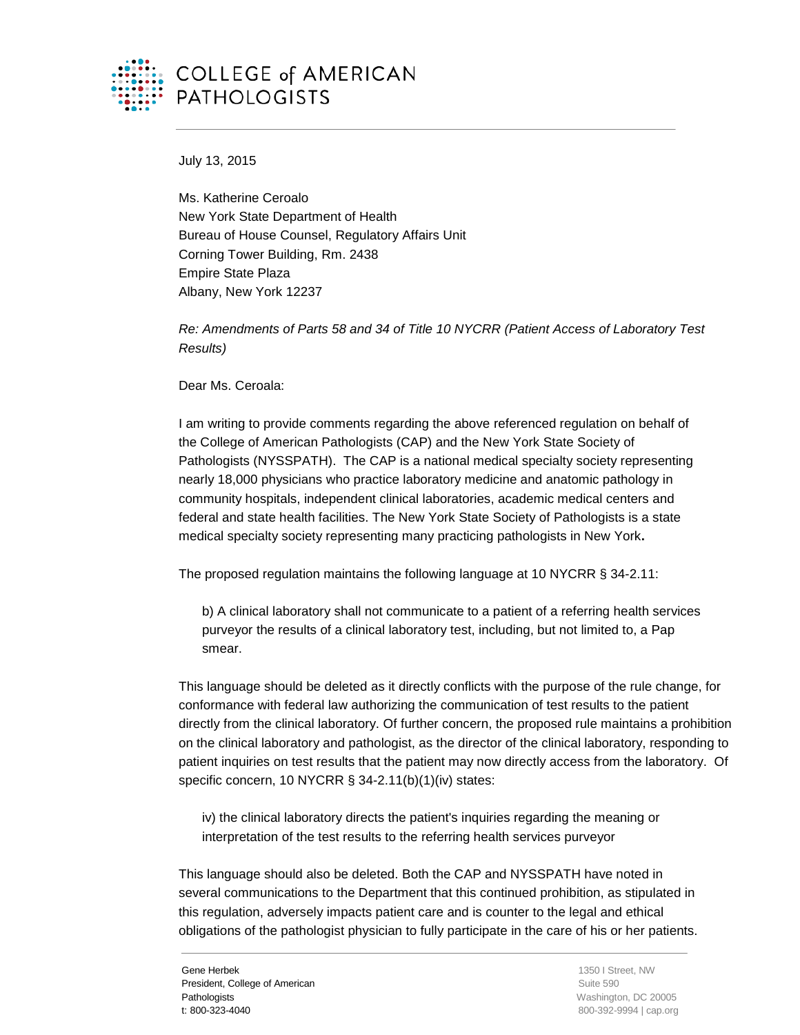

## **COLLEGE of AMERICAN PATHOLOGISTS**

July 13, 2015

Ms. Katherine Ceroalo New York State Department of Health Bureau of House Counsel, Regulatory Affairs Unit Corning Tower Building, Rm. 2438 Empire State Plaza Albany, New York 12237

*Re: Amendments of Parts 58 and 34 of Title 10 NYCRR (Patient Access of Laboratory Test Results)*

Dear Ms. Ceroala:

I am writing to provide comments regarding the above referenced regulation on behalf of the College of American Pathologists (CAP) and the New York State Society of Pathologists (NYSSPATH). The CAP is a national medical specialty society representing nearly 18,000 physicians who practice laboratory medicine and anatomic pathology in community hospitals, independent clinical laboratories, academic medical centers and federal and state health facilities. The New York State Society of Pathologists is a state medical specialty society representing many practicing pathologists in New York**.**

The proposed regulation maintains the following language at 10 NYCRR § 34-2.11:

b) A clinical laboratory shall not communicate to a patient of a referring health services purveyor the results of a clinical laboratory test, including, but not limited to, a Pap smear.

This language should be deleted as it directly conflicts with the purpose of the rule change, for conformance with federal law authorizing the communication of test results to the patient directly from the clinical laboratory. Of further concern, the proposed rule maintains a prohibition on the clinical laboratory and pathologist, as the director of the clinical laboratory, responding to patient inquiries on test results that the patient may now directly access from the laboratory. Of specific concern, 10 NYCRR § 34-2.11(b)(1)(iv) states:

iv) the clinical laboratory directs the patient's inquiries regarding the meaning or interpretation of the test results to the referring health services purveyor

This language should also be deleted. Both the CAP and NYSSPATH have noted in several communications to the Department that this continued prohibition, as stipulated in this regulation, adversely impacts patient care and is counter to the legal and ethical obligations of the pathologist physician to fully participate in the care of his or her patients.

Gene Herbek President, College of American **Pathologists** t: 800-323-4040

 1350 I Street, NW Suite 590 Washington, DC 20005 800-392-9994 | cap.org